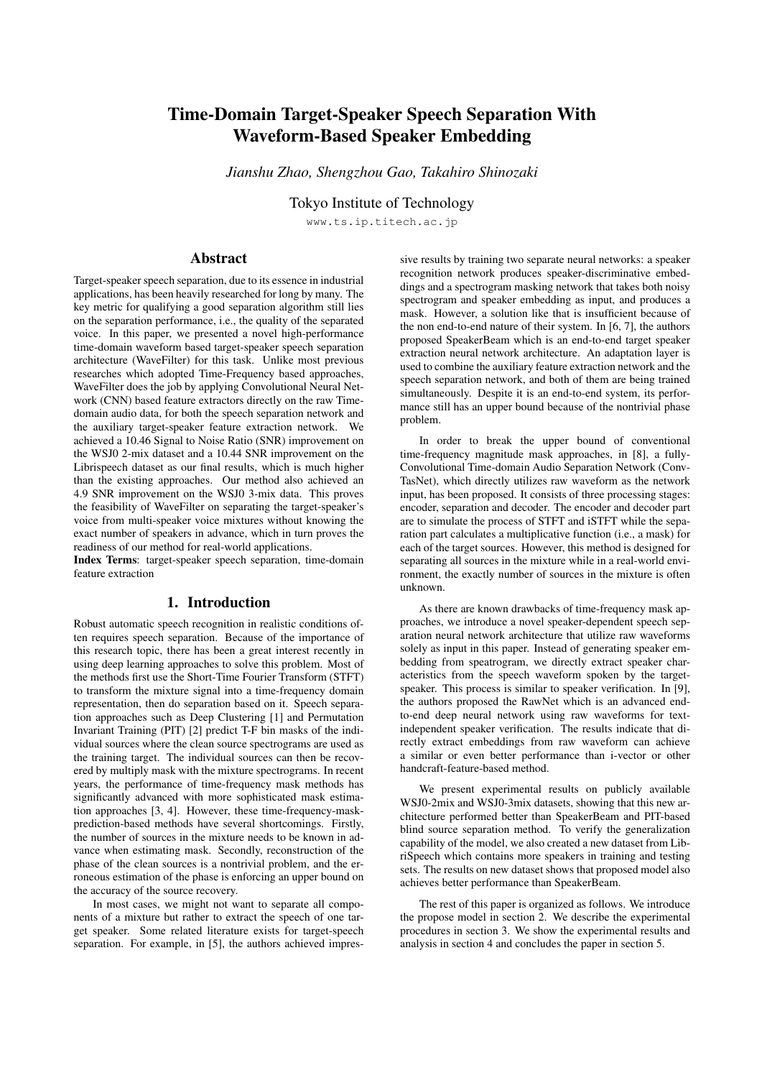# Time-Domain Target-Speaker Speech Separation With Waveform-Based Speaker Embedding

*Jianshu Zhao, Shengzhou Gao, Takahiro Shinozaki*

Tokyo Institute of Technology

www.ts.ip.titech.ac.jp

# Abstract

Target-speaker speech separation, due to its essence in industrial applications, has been heavily researched for long by many. The key metric for qualifying a good separation algorithm still lies on the separation performance, i.e., the quality of the separated voice. In this paper, we presented a novel high-performance time-domain waveform based target-speaker speech separation architecture (WaveFilter) for this task. Unlike most previous researches which adopted Time-Frequency based approaches, WaveFilter does the job by applying Convolutional Neural Network (CNN) based feature extractors directly on the raw Timedomain audio data, for both the speech separation network and the auxiliary target-speaker feature extraction network. We achieved a 10.46 Signal to Noise Ratio (SNR) improvement on the WSJ0 2-mix dataset and a 10.44 SNR improvement on the Librispeech dataset as our final results, which is much higher than the existing approaches. Our method also achieved an 4.9 SNR improvement on the WSJ0 3-mix data. This proves the feasibility of WaveFilter on separating the target-speaker's voice from multi-speaker voice mixtures without knowing the exact number of speakers in advance, which in turn proves the readiness of our method for real-world applications.

Index Terms: target-speaker speech separation, time-domain feature extraction

# 1. Introduction

Robust automatic speech recognition in realistic conditions often requires speech separation. Because of the importance of this research topic, there has been a great interest recently in using deep learning approaches to solve this problem. Most of the methods first use the Short-Time Fourier Transform (STFT) to transform the mixture signal into a time-frequency domain representation, then do separation based on it. Speech separation approaches such as Deep Clustering [1] and Permutation Invariant Training (PIT) [2] predict T-F bin masks of the individual sources where the clean source spectrograms are used as the training target. The individual sources can then be recovered by multiply mask with the mixture spectrograms. In recent years, the performance of time-frequency mask methods has significantly advanced with more sophisticated mask estimation approaches [3, 4]. However, these time-frequency-maskprediction-based methods have several shortcomings. Firstly, the number of sources in the mixture needs to be known in advance when estimating mask. Secondly, reconstruction of the phase of the clean sources is a nontrivial problem, and the erroneous estimation of the phase is enforcing an upper bound on the accuracy of the source recovery.

In most cases, we might not want to separate all components of a mixture but rather to extract the speech of one target speaker. Some related literature exists for target-speech separation. For example, in [5], the authors achieved impressive results by training two separate neural networks: a speaker recognition network produces speaker-discriminative embeddings and a spectrogram masking network that takes both noisy spectrogram and speaker embedding as input, and produces a mask. However, a solution like that is insufficient because of the non end-to-end nature of their system. In [6, 7], the authors proposed SpeakerBeam which is an end-to-end target speaker extraction neural network architecture. An adaptation layer is used to combine the auxiliary feature extraction network and the speech separation network, and both of them are being trained simultaneously. Despite it is an end-to-end system, its performance still has an upper bound because of the nontrivial phase problem.

In order to break the upper bound of conventional time-frequency magnitude mask approaches, in [8], a fully-Convolutional Time-domain Audio Separation Network (Conv-TasNet), which directly utilizes raw waveform as the network input, has been proposed. It consists of three processing stages: encoder, separation and decoder. The encoder and decoder part are to simulate the process of STFT and iSTFT while the separation part calculates a multiplicative function (i.e., a mask) for each of the target sources. However, this method is designed for separating all sources in the mixture while in a real-world environment, the exactly number of sources in the mixture is often unknown.

As there are known drawbacks of time-frequency mask approaches, we introduce a novel speaker-dependent speech separation neural network architecture that utilize raw waveforms solely as input in this paper. Instead of generating speaker embedding from speatrogram, we directly extract speaker characteristics from the speech waveform spoken by the targetspeaker. This process is similar to speaker verification. In [9], the authors proposed the RawNet which is an advanced endto-end deep neural network using raw waveforms for textindependent speaker verification. The results indicate that directly extract embeddings from raw waveform can achieve a similar or even better performance than i-vector or other handcraft-feature-based method.

We present experimental results on publicly available WSJ0-2mix and WSJ0-3mix datasets, showing that this new architecture performed better than SpeakerBeam and PIT-based blind source separation method. To verify the generalization capability of the model, we also created a new dataset from LibriSpeech which contains more speakers in training and testing sets. The results on new dataset shows that proposed model also achieves better performance than SpeakerBeam.

The rest of this paper is organized as follows. We introduce the propose model in section 2. We describe the experimental procedures in section 3. We show the experimental results and analysis in section 4 and concludes the paper in section 5.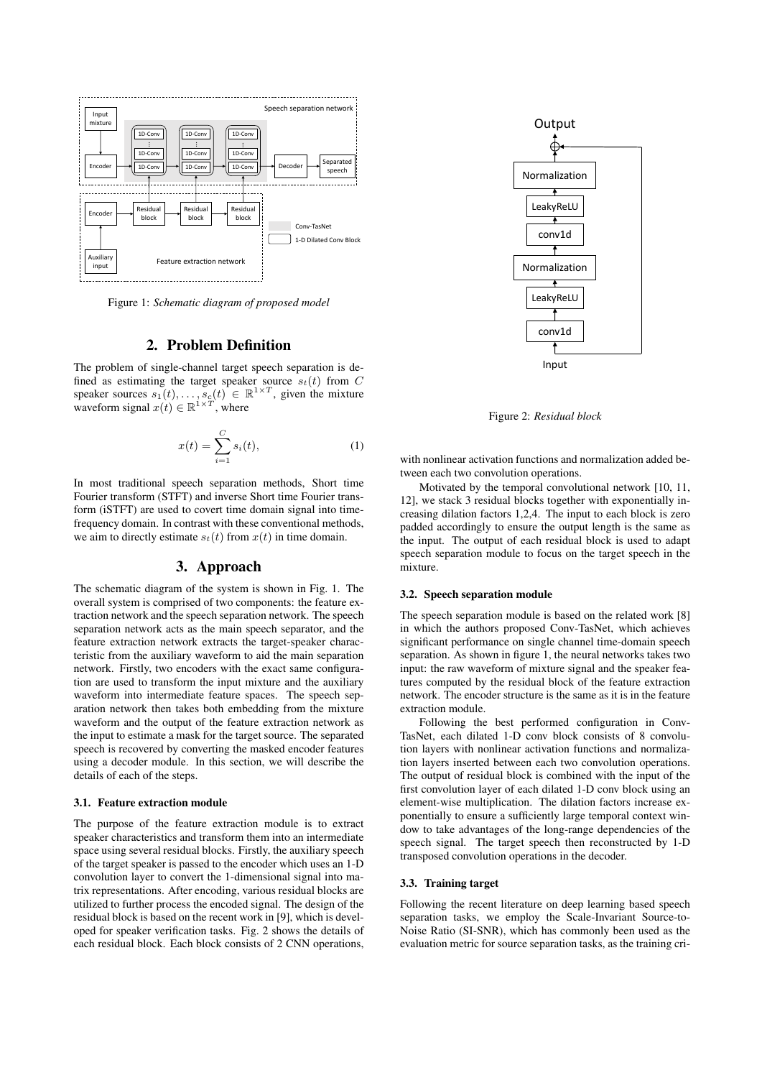

Figure 1: *Schematic diagram of proposed model*

# 2. Problem Definition

The problem of single-channel target speech separation is defined as estimating the target speaker source  $s_t(t)$  from C speaker sources  $s_1(t), \ldots, s_c(t) \in \mathbb{R}^{1 \times T}$ , given the mixture waveform signal  $x(t) \in \mathbb{R}^{1 \times T}$ , where

$$
x(t) = \sum_{i=1}^{C} s_i(t),
$$
 (1)

In most traditional speech separation methods, Short time Fourier transform (STFT) and inverse Short time Fourier transform (iSTFT) are used to covert time domain signal into timefrequency domain. In contrast with these conventional methods, we aim to directly estimate  $s_t(t)$  from  $x(t)$  in time domain.

# 3. Approach

The schematic diagram of the system is shown in Fig. 1. The overall system is comprised of two components: the feature extraction network and the speech separation network. The speech separation network acts as the main speech separator, and the feature extraction network extracts the target-speaker characteristic from the auxiliary waveform to aid the main separation network. Firstly, two encoders with the exact same configuration are used to transform the input mixture and the auxiliary waveform into intermediate feature spaces. The speech separation network then takes both embedding from the mixture waveform and the output of the feature extraction network as the input to estimate a mask for the target source. The separated speech is recovered by converting the masked encoder features using a decoder module. In this section, we will describe the details of each of the steps.

#### 3.1. Feature extraction module

The purpose of the feature extraction module is to extract speaker characteristics and transform them into an intermediate space using several residual blocks. Firstly, the auxiliary speech of the target speaker is passed to the encoder which uses an 1-D convolution layer to convert the 1-dimensional signal into matrix representations. After encoding, various residual blocks are utilized to further process the encoded signal. The design of the residual block is based on the recent work in [9], which is developed for speaker verification tasks. Fig. 2 shows the details of each residual block. Each block consists of 2 CNN operations,



Figure 2: *Residual block*

with nonlinear activation functions and normalization added between each two convolution operations.

Motivated by the temporal convolutional network [10, 11, 12], we stack 3 residual blocks together with exponentially increasing dilation factors 1,2,4. The input to each block is zero padded accordingly to ensure the output length is the same as the input. The output of each residual block is used to adapt speech separation module to focus on the target speech in the mixture.

### 3.2. Speech separation module

The speech separation module is based on the related work [8] in which the authors proposed Conv-TasNet, which achieves significant performance on single channel time-domain speech separation. As shown in figure 1, the neural networks takes two input: the raw waveform of mixture signal and the speaker features computed by the residual block of the feature extraction network. The encoder structure is the same as it is in the feature extraction module.

Following the best performed configuration in Conv-TasNet, each dilated 1-D conv block consists of 8 convolution layers with nonlinear activation functions and normalization layers inserted between each two convolution operations. The output of residual block is combined with the input of the first convolution layer of each dilated 1-D conv block using an element-wise multiplication. The dilation factors increase exponentially to ensure a sufficiently large temporal context window to take advantages of the long-range dependencies of the speech signal. The target speech then reconstructed by 1-D transposed convolution operations in the decoder.

## 3.3. Training target

Following the recent literature on deep learning based speech separation tasks, we employ the Scale-Invariant Source-to-Noise Ratio (SI-SNR), which has commonly been used as the evaluation metric for source separation tasks, as the training cri-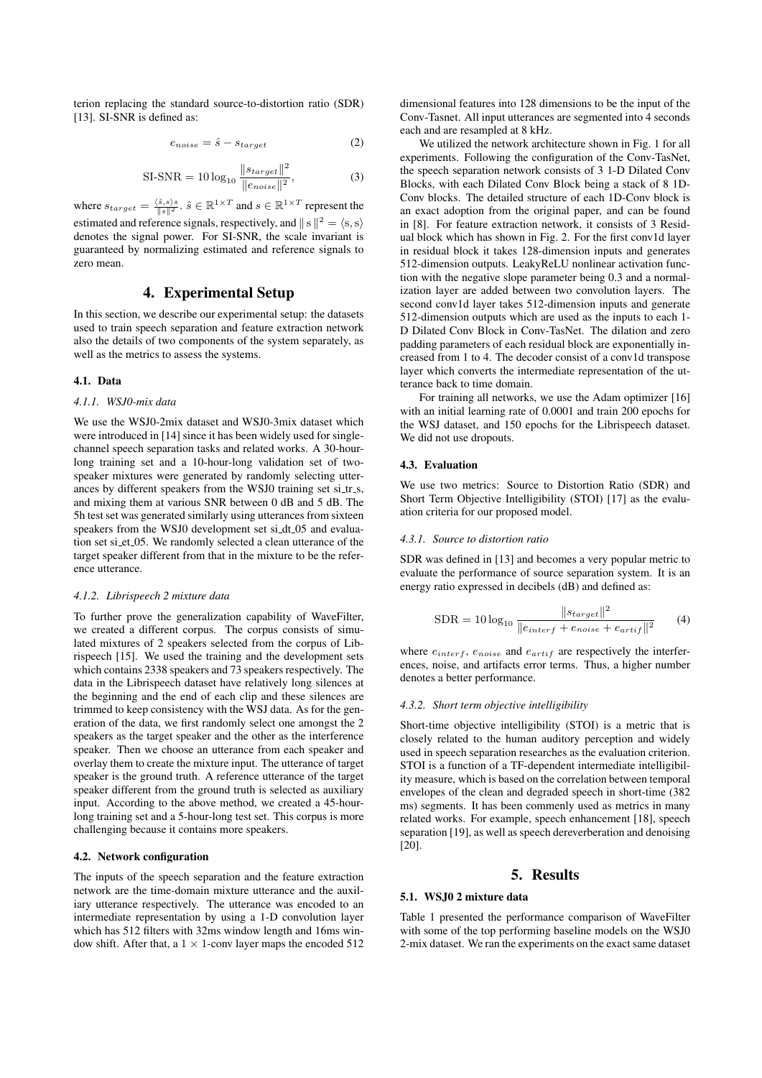terion replacing the standard source-to-distortion ratio (SDR) [13]. SI-SNR is defined as:

$$
e_{noise} = \hat{s} - s_{target} \tag{2}
$$

SI-SNR = 
$$
10 \log_{10} \frac{\|s_{target}\|^2}{\|e_{noise}\|^2}
$$
, (3)

where  $s_{target} = \frac{\langle \hat{s}, s \rangle s}{\|s\|^2}$ .  $\hat{s} \in \mathbb{R}^{1 \times T}$  and  $s \in \mathbb{R}^{1 \times T}$  represent the estimated and reference signals, respectively, and  $||s||^2 = \langle s, s \rangle$ denotes the signal power. For SI-SNR, the scale invariant is guaranteed by normalizing estimated and reference signals to zero mean.

# 4. Experimental Setup

In this section, we describe our experimental setup: the datasets used to train speech separation and feature extraction network also the details of two components of the system separately, as well as the metrics to assess the systems.

#### 4.1. Data

## *4.1.1. WSJ0-mix data*

We use the WSJ0-2mix dataset and WSJ0-3mix dataset which were introduced in [14] since it has been widely used for singlechannel speech separation tasks and related works. A 30-hourlong training set and a 10-hour-long validation set of twospeaker mixtures were generated by randomly selecting utterances by different speakers from the WSJ0 training set si\_tr\_s, and mixing them at various SNR between 0 dB and 5 dB. The 5h test set was generated similarly using utterances from sixteen speakers from the WSJ0 development set si\_dt\_05 and evaluation set si\_et\_05. We randomly selected a clean utterance of the target speaker different from that in the mixture to be the reference utterance.

## *4.1.2. Librispeech 2 mixture data*

To further prove the generalization capability of WaveFilter, we created a different corpus. The corpus consists of simulated mixtures of 2 speakers selected from the corpus of Librispeech [15]. We used the training and the development sets which contains 2338 speakers and 73 speakers respectively. The data in the Librispeech dataset have relatively long silences at the beginning and the end of each clip and these silences are trimmed to keep consistency with the WSJ data. As for the generation of the data, we first randomly select one amongst the 2 speakers as the target speaker and the other as the interference speaker. Then we choose an utterance from each speaker and overlay them to create the mixture input. The utterance of target speaker is the ground truth. A reference utterance of the target speaker different from the ground truth is selected as auxiliary input. According to the above method, we created a 45-hourlong training set and a 5-hour-long test set. This corpus is more challenging because it contains more speakers.

#### 4.2. Network configuration

The inputs of the speech separation and the feature extraction network are the time-domain mixture utterance and the auxiliary utterance respectively. The utterance was encoded to an intermediate representation by using a 1-D convolution layer which has 512 filters with 32ms window length and 16ms window shift. After that, a  $1 \times 1$ -conv layer maps the encoded 512 dimensional features into 128 dimensions to be the input of the Conv-Tasnet. All input utterances are segmented into 4 seconds each and are resampled at 8 kHz.

We utilized the network architecture shown in Fig. 1 for all experiments. Following the configuration of the Conv-TasNet, the speech separation network consists of 3 1-D Dilated Conv Blocks, with each Dilated Conv Block being a stack of 8 1D-Conv blocks. The detailed structure of each 1D-Conv block is an exact adoption from the original paper, and can be found in [8]. For feature extraction network, it consists of 3 Residual block which has shown in Fig. 2. For the first conv1d layer in residual block it takes 128-dimension inputs and generates 512-dimension outputs. LeakyReLU nonlinear activation function with the negative slope parameter being 0.3 and a normalization layer are added between two convolution layers. The second conv1d layer takes 512-dimension inputs and generate 512-dimension outputs which are used as the inputs to each 1- D Dilated Conv Block in Conv-TasNet. The dilation and zero padding parameters of each residual block are exponentially increased from 1 to 4. The decoder consist of a conv1d transpose layer which converts the intermediate representation of the utterance back to time domain.

For training all networks, we use the Adam optimizer [16] with an initial learning rate of 0.0001 and train 200 epochs for the WSJ dataset, and 150 epochs for the Librispeech dataset. We did not use dropouts.

### 4.3. Evaluation

We use two metrics: Source to Distortion Ratio (SDR) and Short Term Objective Intelligibility (STOI) [17] as the evaluation criteria for our proposed model.

### *4.3.1. Source to distortion ratio*

SDR was defined in [13] and becomes a very popular metric to evaluate the performance of source separation system. It is an energy ratio expressed in decibels (dB) and defined as:

$$
SDR = 10 \log_{10} \frac{\|s_{target}\|^2}{\|e_{interf} + e_{noise} + e_{artif}\|^2}
$$
 (4)

where  $e_{interf}$ ,  $e_{noise}$  and  $e_{artif}$  are respectively the interferences, noise, and artifacts error terms. Thus, a higher number denotes a better performance.

### *4.3.2. Short term objective intelligibility*

Short-time objective intelligibility (STOI) is a metric that is closely related to the human auditory perception and widely used in speech separation researches as the evaluation criterion. STOI is a function of a TF-dependent intermediate intelligibility measure, which is based on the correlation between temporal envelopes of the clean and degraded speech in short-time (382 ms) segments. It has been commenly used as metrics in many related works. For example, speech enhancement [18], speech separation [19], as well as speech dereverberation and denoising [20].

# 5. Results

# 5.1. WSJ0 2 mixture data

Table 1 presented the performance comparison of WaveFilter with some of the top performing baseline models on the WSJ0 2-mix dataset. We ran the experiments on the exact same dataset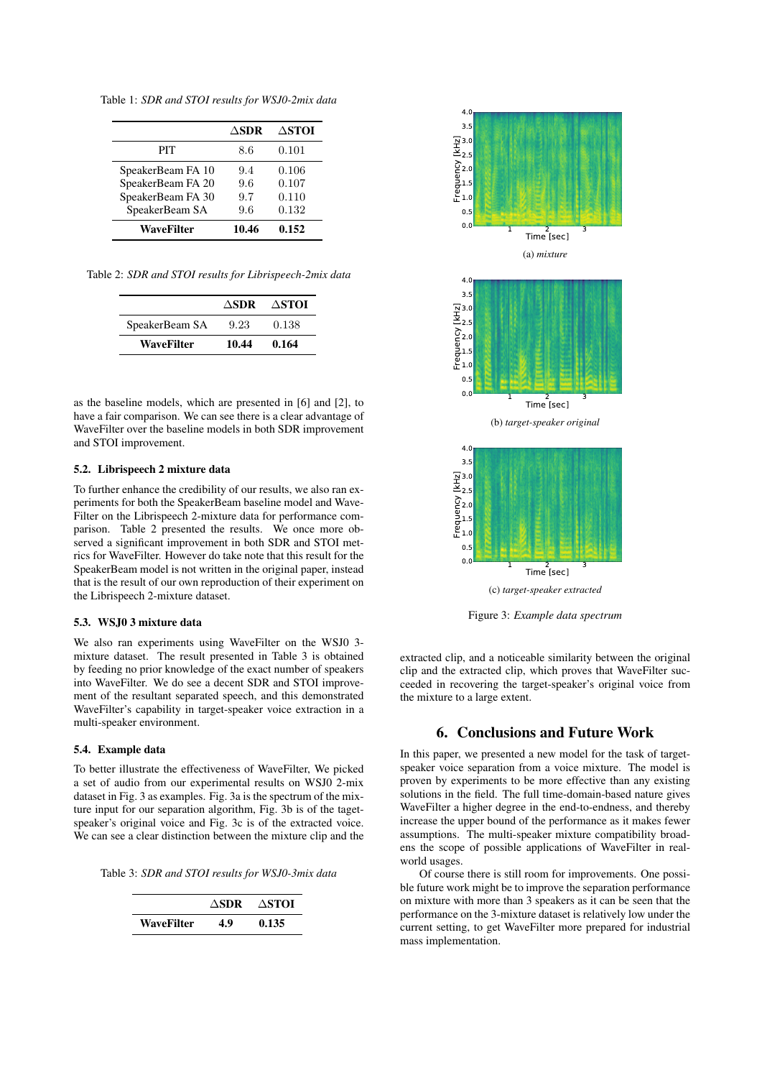Table 1: *SDR and STOI results for WSJ0-2mix data*

|                   | $\Delta$ SDR | $\Delta$ STOI |
|-------------------|--------------|---------------|
| PIT               | 8.6          | 0.101         |
| SpeakerBeam FA 10 | 9.4          | 0.106         |
| SpeakerBeam FA 20 | 9.6          | 0.107         |
| SpeakerBeam FA 30 | 9.7          | 0.110         |
| SpeakerBeam SA    | 9.6          | 0.132         |
| WaveFilter        | 10.46        | 0.152         |

Table 2: *SDR and STOI results for Librispeech-2mix data*

|                | ASDR  | ∆STOI |
|----------------|-------|-------|
| SpeakerBeam SA | 9.23  | 0.138 |
| WaveFilter     | 10.44 | 0.164 |

as the baseline models, which are presented in [6] and [2], to have a fair comparison. We can see there is a clear advantage of WaveFilter over the baseline models in both SDR improvement and STOI improvement.

# 5.2. Librispeech 2 mixture data

To further enhance the credibility of our results, we also ran experiments for both the SpeakerBeam baseline model and Wave-Filter on the Librispeech 2-mixture data for performance comparison. Table 2 presented the results. We once more observed a significant improvement in both SDR and STOI metrics for WaveFilter. However do take note that this result for the SpeakerBeam model is not written in the original paper, instead that is the result of our own reproduction of their experiment on the Librispeech 2-mixture dataset.

## 5.3. WSJ0 3 mixture data

We also ran experiments using WaveFilter on the WSJ0 3 mixture dataset. The result presented in Table 3 is obtained by feeding no prior knowledge of the exact number of speakers into WaveFilter. We do see a decent SDR and STOI improvement of the resultant separated speech, and this demonstrated WaveFilter's capability in target-speaker voice extraction in a multi-speaker environment.

### 5.4. Example data

To better illustrate the effectiveness of WaveFilter, We picked a set of audio from our experimental results on WSJ0 2-mix dataset in Fig. 3 as examples. Fig. 3a is the spectrum of the mixture input for our separation algorithm, Fig. 3b is of the tagetspeaker's original voice and Fig. 3c is of the extracted voice. We can see a clear distinction between the mixture clip and the

Table 3: *SDR and STOI results for WSJ0-3mix data*

|            |    | $\triangle$ SDR $\triangle$ STOI |
|------------|----|----------------------------------|
| WaveFilter | 49 | 0.135                            |



Figure 3: *Example data spectrum*

extracted clip, and a noticeable similarity between the original clip and the extracted clip, which proves that WaveFilter succeeded in recovering the target-speaker's original voice from the mixture to a large extent.

# 6. Conclusions and Future Work

In this paper, we presented a new model for the task of targetspeaker voice separation from a voice mixture. The model is proven by experiments to be more effective than any existing solutions in the field. The full time-domain-based nature gives WaveFilter a higher degree in the end-to-endness, and thereby increase the upper bound of the performance as it makes fewer assumptions. The multi-speaker mixture compatibility broadens the scope of possible applications of WaveFilter in realworld usages.

Of course there is still room for improvements. One possible future work might be to improve the separation performance on mixture with more than 3 speakers as it can be seen that the performance on the 3-mixture dataset is relatively low under the current setting, to get WaveFilter more prepared for industrial mass implementation.